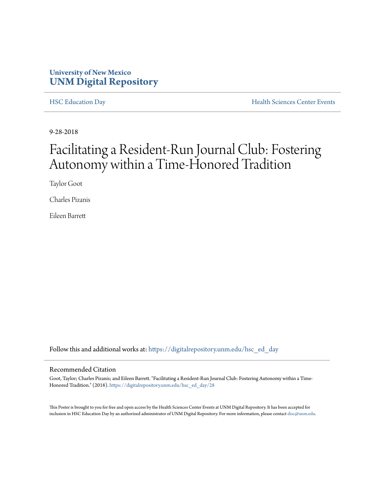#### **University of New Mexico [UNM Digital Repository](https://digitalrepository.unm.edu?utm_source=digitalrepository.unm.edu%2Fhsc_ed_day%2F28&utm_medium=PDF&utm_campaign=PDFCoverPages)**

[HSC Education Day](https://digitalrepository.unm.edu/hsc_ed_day?utm_source=digitalrepository.unm.edu%2Fhsc_ed_day%2F28&utm_medium=PDF&utm_campaign=PDFCoverPages) **[Health Sciences Center Events](https://digitalrepository.unm.edu/hsc_events?utm_source=digitalrepository.unm.edu%2Fhsc_ed_day%2F28&utm_medium=PDF&utm_campaign=PDFCoverPages)** 

9-28-2018

#### Facilitating a Resident-Run Journal Club: Fostering Autonomy within a Time-Honored Tradition

Taylor Goot

Charles Pizanis

Eileen Barrett

Follow this and additional works at: [https://digitalrepository.unm.edu/hsc\\_ed\\_day](https://digitalrepository.unm.edu/hsc_ed_day?utm_source=digitalrepository.unm.edu%2Fhsc_ed_day%2F28&utm_medium=PDF&utm_campaign=PDFCoverPages)

#### Recommended Citation

Goot, Taylor; Charles Pizanis; and Eileen Barrett. "Facilitating a Resident-Run Journal Club: Fostering Autonomy within a Time-Honored Tradition." (2018). [https://digitalrepository.unm.edu/hsc\\_ed\\_day/28](https://digitalrepository.unm.edu/hsc_ed_day/28?utm_source=digitalrepository.unm.edu%2Fhsc_ed_day%2F28&utm_medium=PDF&utm_campaign=PDFCoverPages)

This Poster is brought to you for free and open access by the Health Sciences Center Events at UNM Digital Repository. It has been accepted for inclusion in HSC Education Day by an authorized administrator of UNM Digital Repository. For more information, please contact [disc@unm.edu](mailto:disc@unm.edu).